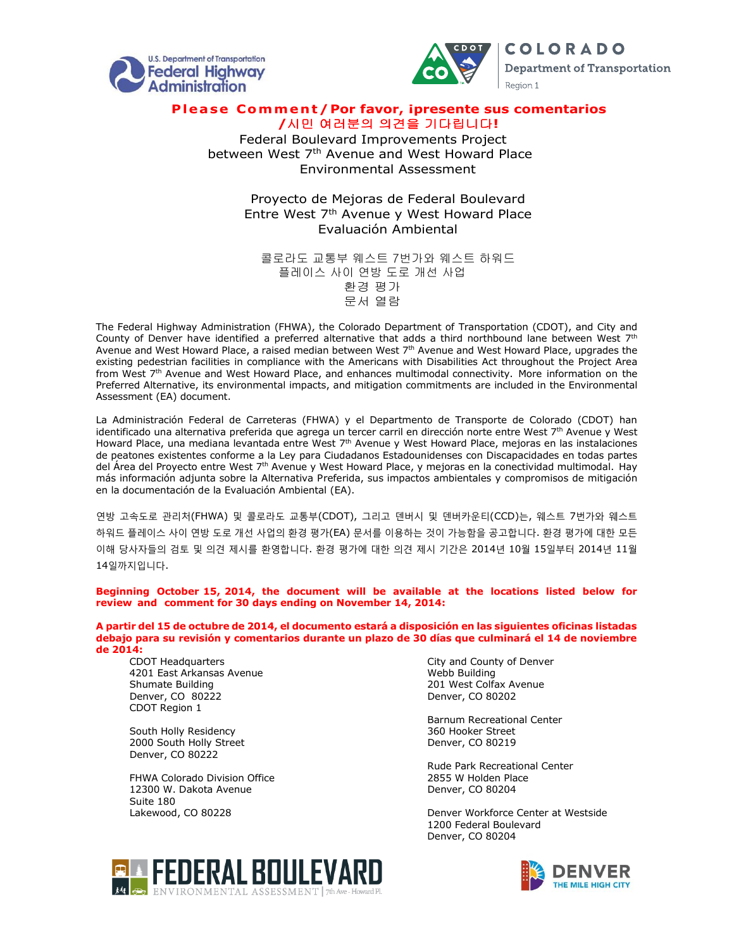



**COLORADO Department of Transportation** Region 1

## Please Comment / Por favor, ipresente sus comentarios **/**시민 여러분의 의견을 기다립니다**!**

Federal Boulevard Improvements Project between West 7<sup>th</sup> Avenue and West Howard Place Environmental Assessment

> Proyecto de Mejoras de Federal Boulevard Entre West  $7<sup>th</sup>$  Avenue y West Howard Place Evaluación Ambiental

콜로라도 교통부 웨스트 7번가와 웨스트 하워드 플레이스 사이 연방 도로 개선 사업 환경 평가 문서 열람

The Federal Highway Administration (FHWA), the Colorado Department of Transportation (CDOT), and City and County of Denver have identified a preferred alternative that adds a third northbound lane between West  $7<sup>th</sup>$ Avenue and West Howard Place, a raised median between West 7<sup>th</sup> Avenue and West Howard Place, upgrades the existing pedestrian facilities in compliance with the Americans with Disabilities Act throughout the Project Area from West 7<sup>th</sup> Avenue and West Howard Place, and enhances multimodal connectivity. More information on the Preferred Alternative, its environmental impacts, and mitigation commitments are included in the Environmental Assessment (EA) document.

La Administración Federal de Carreteras (FHWA) y el Departmento de Transporte de Colorado (CDOT) han identificado una alternativa preferida que agrega un tercer carril en dirección norte entre West 7<sup>th</sup> Avenue y West Howard Place, una mediana levantada entre West 7<sup>th</sup> Avenue y West Howard Place, mejoras en las instalaciones de peatones existentes conforme a la Ley para Ciudadanos Estadounidenses con Discapacidades en todas partes del Área del Proyecto entre West 7th Avenue y West Howard Place, y mejoras en la conectividad multimodal. Hay más información adjunta sobre la Alternativa Preferida, sus impactos ambientales y compromisos de mitigación en la documentación de la Evaluación Ambiental (EA).

연방 고속도로 관리처(FHWA) 및 콜로라도 교통부(CDOT), 그리고 덴버시 및 덴버카운티(CCD)는, 웨스트 7번가와 웨스트 하워드 플레이스 사이 연방 도로 개선 사업의 환경 평가(EA) 문서를 이용하는 것이 가능함을 공고합니다. 환경 평가에 대한 모든 이해 당사자들의 검토 및 의견 제시를 환영합니다. 환경 평가에 대한 의견 제시 기간은 2014년 10월 15일부터 2014년 11월 14일까지입니다.

**Beginning October 15, 2014, the document will be available at the locations listed below for review and comment for 30 days ending on November 14, 2014:**

**A partir del 15 de octubre de 2014, el documento estará a disposición en las siguientes oficinas listadas debajo para su revisión y comentarios durante un plazo de 30 días que culminará el 14 de noviembre de 2014:**

CDOT Headquarters 4201 East Arkansas Avenue Shumate Building Denver, CO 80222 CDOT Region 1

South Holly Residency 2000 South Holly Street Denver, CO 80222

FHWA Colorado Division Office 12300 W. Dakota Avenue Suite 180 Lakewood, CO 80228

City and County of Denver Webb Building 201 West Colfax Avenue Denver, CO 80202

Barnum Recreational Center 360 Hooker Street Denver, CO 80219

Rude Park Recreational Center 2855 W Holden Place Denver, CO 80204

Denver Workforce Center at Westside 1200 Federal Boulevard Denver, CO 80204